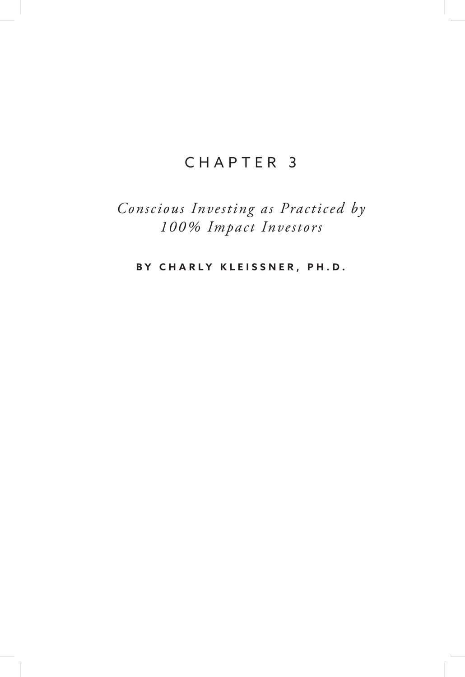# CHAPTER 3

*Conscious Investing as Practiced by 100% Impact Investors*

**BY CHARLY KLEISSNER, PH.D.**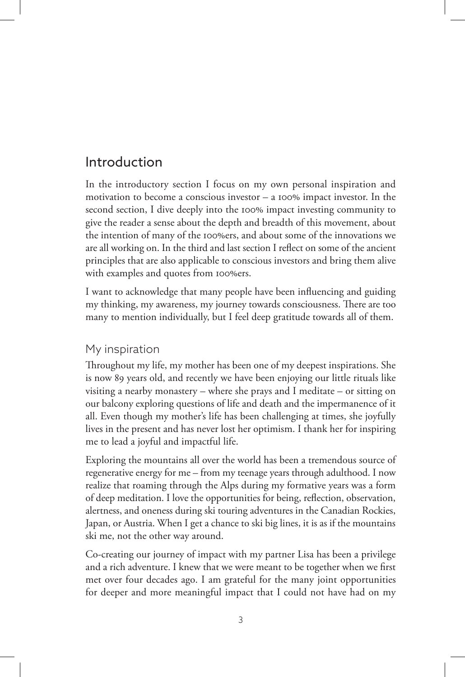# Introduction

In the introductory section I focus on my own personal inspiration and motivation to become a conscious investor – a 100% impact investor. In the second section, I dive deeply into the 100% impact investing community to give the reader a sense about the depth and breadth of this movement, about the intention of many of the 100%ers, and about some of the innovations we are all working on. In the third and last section I reflect on some of the ancient principles that are also applicable to conscious investors and bring them alive with examples and quotes from 100%ers.

I want to acknowledge that many people have been influencing and guiding my thinking, my awareness, my journey towards consciousness. There are too many to mention individually, but I feel deep gratitude towards all of them.

## My inspiration

Throughout my life, my mother has been one of my deepest inspirations. She is now 89 years old, and recently we have been enjoying our little rituals like visiting a nearby monastery – where she prays and I meditate – or sitting on our balcony exploring questions of life and death and the impermanence of it all. Even though my mother's life has been challenging at times, she joyfully lives in the present and has never lost her optimism. I thank her for inspiring me to lead a joyful and impactful life.

Exploring the mountains all over the world has been a tremendous source of regenerative energy for me – from my teenage years through adulthood. I now realize that roaming through the Alps during my formative years was a form of deep meditation. I love the opportunities for being, reflection, observation, alertness, and oneness during ski touring adventures in the Canadian Rockies, Japan, or Austria. When I get a chance to ski big lines, it is as if the mountains ski me, not the other way around.

Co-creating our journey of impact with my partner Lisa has been a privilege and a rich adventure. I knew that we were meant to be together when we first met over four decades ago. I am grateful for the many joint opportunities for deeper and more meaningful impact that I could not have had on my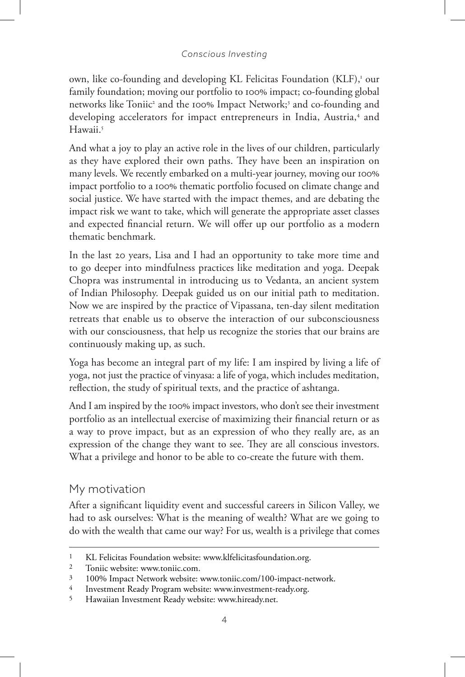own, like co-founding and developing KL Felicitas Foundation (KLF),<sup>1</sup> our family foundation; moving our portfolio to 100% impact; co-founding global networks like Toniic<sup>2</sup> and the 100% Impact Network;<sup>3</sup> and co-founding and developing accelerators for impact entrepreneurs in India, Austria,<sup>4</sup> and Hawaii.<sup>5</sup>

And what a joy to play an active role in the lives of our children, particularly as they have explored their own paths. They have been an inspiration on many levels. We recently embarked on a multi-year journey, moving our 100% impact portfolio to a 100% thematic portfolio focused on climate change and social justice. We have started with the impact themes, and are debating the impact risk we want to take, which will generate the appropriate asset classes and expected financial return. We will offer up our portfolio as a modern thematic benchmark.

In the last 20 years, Lisa and I had an opportunity to take more time and to go deeper into mindfulness practices like meditation and yoga. Deepak Chopra was instrumental in introducing us to Vedanta, an ancient system of Indian Philosophy. Deepak guided us on our initial path to meditation. Now we are inspired by the practice of Vipassana, ten-day silent meditation retreats that enable us to observe the interaction of our subconsciousness with our consciousness, that help us recognize the stories that our brains are continuously making up, as such.

Yoga has become an integral part of my life: I am inspired by living a life of yoga, not just the practice of vinyasa: a life of yoga, which includes meditation, reflection, the study of spiritual texts, and the practice of ashtanga.

And I am inspired by the 100% impact investors, who don't see their investment portfolio as an intellectual exercise of maximizing their financial return or as a way to prove impact, but as an expression of who they really are, as an expression of the change they want to see. They are all conscious investors. What a privilege and honor to be able to co-create the future with them.

## My motivation

After a significant liquidity event and successful careers in Silicon Valley, we had to ask ourselves: What is the meaning of wealth? What are we going to do with the wealth that came our way? For us, wealth is a privilege that comes

<sup>1</sup> KL Felicitas Foundation website: www.klfelicitasfoundation.org.

<sup>2</sup> Toniic website: www.toniic.com.

<sup>3</sup> 100% Impact Network website: www.toniic.com/100-impact-network.

<sup>4</sup> Investment Ready Program website: www.investment-ready.org.

<sup>5</sup> Hawaiian Investment Ready website: www.hiready.net.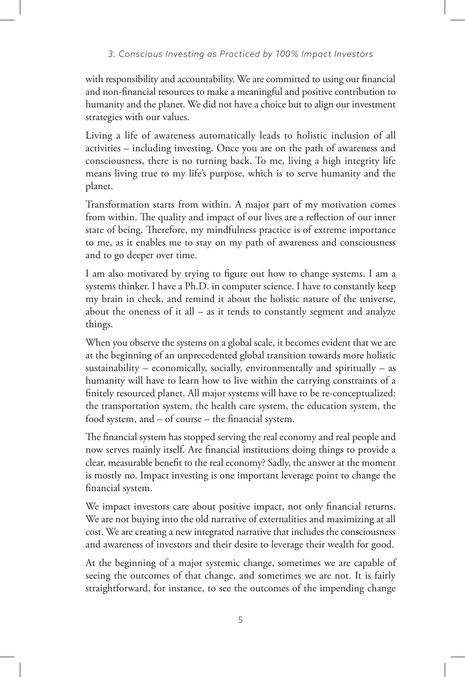with responsibility and accountability. We are committed to using our financial and non-financial resources to make a meaningful and positive contribution to humanity and the planet. We did not have a choice but to align our investment strategies with our values.

Living a life of awareness automatically leads to holistic inclusion of all activities – including investing. Once you are on the path of awareness and consciousness, there is no turning back. To me, living a high integrity life means living true to my life's purpose, which is to serve humanity and the planet.

Transformation starts from within. A major part of my motivation comes from within. The quality and impact of our lives are a reflection of our inner state of being. Therefore, my mindfulness practice is of extreme importance to me, as it enables me to stay on my path of awareness and consciousness and to go deeper over time.

I am also motivated by trying to figure out how to change systems. I am a systems thinker. I have a Ph.D. in computer science. I have to constantly keep my brain in check, and remind it about the holistic nature of the universe, about the oneness of it all – as it tends to constantly segment and analyze things.

When you observe the systems on a global scale, it becomes evident that we are at the beginning of an unprecedented global transition towards more holistic sustainability – economically, socially, environmentally and spiritually – as humanity will have to learn how to live within the carrying constraints of a finitely resourced planet. All major systems will have to be re-conceptualized: the transportation system, the health care system, the education system, the food system, and – of course – the financial system.

The financial system has stopped serving the real economy and real people and now serves mainly itself. Are financial institutions doing things to provide a clear, measurable benefit to the real economy? Sadly, the answer at the moment is mostly no. Impact investing is one important leverage point to change the financial system.

We impact investors care about positive impact, not only financial returns. We are not buying into the old narrative of externalities and maximizing at all cost. We are creating a new integrated narrative that includes the consciousness and awareness of investors and their desire to leverage their wealth for good.

At the beginning of a major systemic change, sometimes we are capable of seeing the outcomes of that change, and sometimes we are not. It is fairly straightforward, for instance, to see the outcomes of the impending change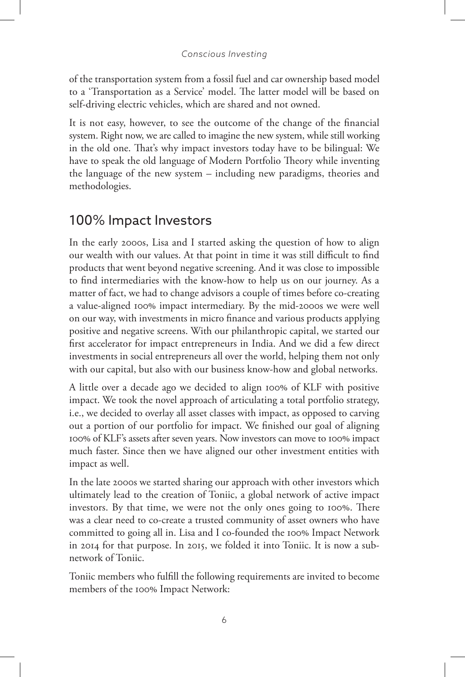of the transportation system from a fossil fuel and car ownership based model to a 'Transportation as a Service' model. The latter model will be based on self-driving electric vehicles, which are shared and not owned.

It is not easy, however, to see the outcome of the change of the financial system. Right now, we are called to imagine the new system, while still working in the old one. That's why impact investors today have to be bilingual: We have to speak the old language of Modern Portfolio Theory while inventing the language of the new system – including new paradigms, theories and methodologies.

# 100% Impact Investors

In the early 2000s, Lisa and I started asking the question of how to align our wealth with our values. At that point in time it was still difficult to find products that went beyond negative screening. And it was close to impossible to find intermediaries with the know-how to help us on our journey. As a matter of fact, we had to change advisors a couple of times before co-creating a value-aligned 100% impact intermediary. By the mid-2000s we were well on our way, with investments in micro finance and various products applying positive and negative screens. With our philanthropic capital, we started our first accelerator for impact entrepreneurs in India. And we did a few direct investments in social entrepreneurs all over the world, helping them not only with our capital, but also with our business know-how and global networks.

A little over a decade ago we decided to align 100% of KLF with positive impact. We took the novel approach of articulating a total portfolio strategy, i.e., we decided to overlay all asset classes with impact, as opposed to carving out a portion of our portfolio for impact. We finished our goal of aligning 100% of KLF's assets after seven years. Now investors can move to 100% impact much faster. Since then we have aligned our other investment entities with impact as well.

In the late 2000s we started sharing our approach with other investors which ultimately lead to the creation of Toniic, a global network of active impact investors. By that time, we were not the only ones going to 100%. There was a clear need to co-create a trusted community of asset owners who have committed to going all in. Lisa and I co-founded the 100% Impact Network in 2014 for that purpose. In 2015, we folded it into Toniic. It is now a subnetwork of Toniic.

Toniic members who fulfill the following requirements are invited to become members of the 100% Impact Network: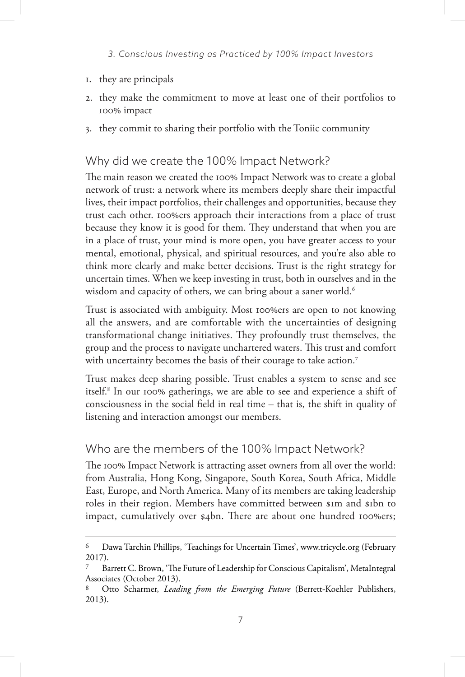- 1. they are principals
- 2. they make the commitment to move at least one of their portfolios to 100% impact
- 3. they commit to sharing their portfolio with the Toniic community

## Why did we create the 100% Impact Network?

The main reason we created the 100% Impact Network was to create a global network of trust: a network where its members deeply share their impactful lives, their impact portfolios, their challenges and opportunities, because they trust each other. 100%ers approach their interactions from a place of trust because they know it is good for them. They understand that when you are in a place of trust, your mind is more open, you have greater access to your mental, emotional, physical, and spiritual resources, and you're also able to think more clearly and make better decisions. Trust is the right strategy for uncertain times. When we keep investing in trust, both in ourselves and in the wisdom and capacity of others, we can bring about a saner world.<sup>6</sup>

Trust is associated with ambiguity. Most 100%ers are open to not knowing all the answers, and are comfortable with the uncertainties of designing transformational change initiatives. They profoundly trust themselves, the group and the process to navigate unchartered waters. This trust and comfort with uncertainty becomes the basis of their courage to take action.<sup>7</sup>

Trust makes deep sharing possible. Trust enables a system to sense and see itself.8 In our 100% gatherings, we are able to see and experience a shift of consciousness in the social field in real time – that is, the shift in quality of listening and interaction amongst our members.

## Who are the members of the 100% Impact Network?

The 100% Impact Network is attracting asset owners from all over the world: from Australia, Hong Kong, Singapore, South Korea, South Africa, Middle East, Europe, and North America. Many of its members are taking leadership roles in their region. Members have committed between \$1m and \$1bn to impact, cumulatively over \$4bn. There are about one hundred 100%ers;

<sup>6</sup> Dawa Tarchin Phillips, 'Teachings for Uncertain Times', www.tricycle.org (February 2017).

Barrett C. Brown, 'The Future of Leadership for Conscious Capitalism', MetaIntegral Associates (October 2013).

Otto Scharmer, *Leading from the Emerging Future* (Berrett-Koehler Publishers, 2013).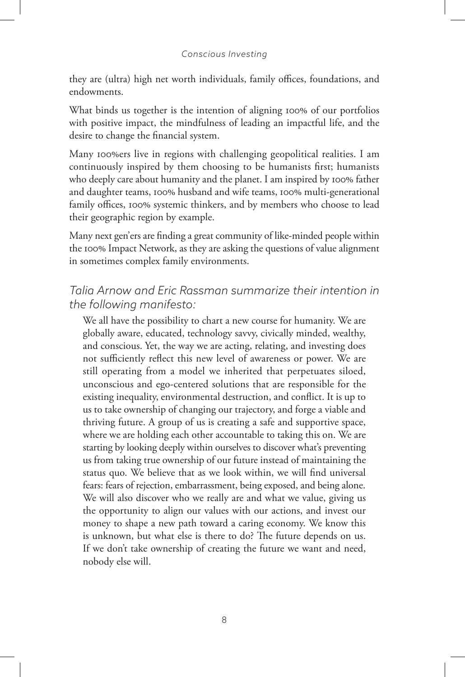they are (ultra) high net worth individuals, family offices, foundations, and endowments.

What binds us together is the intention of aligning 100% of our portfolios with positive impact, the mindfulness of leading an impactful life, and the desire to change the financial system.

Many 100%ers live in regions with challenging geopolitical realities. I am continuously inspired by them choosing to be humanists first; humanists who deeply care about humanity and the planet. I am inspired by 100% father and daughter teams, 100% husband and wife teams, 100% multi-generational family offices, 100% systemic thinkers, and by members who choose to lead their geographic region by example.

Many next gen'ers are finding a great community of like-minded people within the 100% Impact Network, as they are asking the questions of value alignment in sometimes complex family environments.

## *Talia Arnow and Eric Rassman summarize their intention in the following manifesto:*

We all have the possibility to chart a new course for humanity. We are globally aware, educated, technology savvy, civically minded, wealthy, and conscious. Yet, the way we are acting, relating, and investing does not sufficiently reflect this new level of awareness or power. We are still operating from a model we inherited that perpetuates siloed, unconscious and ego-centered solutions that are responsible for the existing inequality, environmental destruction, and conflict. It is up to us to take ownership of changing our trajectory, and forge a viable and thriving future. A group of us is creating a safe and supportive space, where we are holding each other accountable to taking this on. We are starting by looking deeply within ourselves to discover what's preventing us from taking true ownership of our future instead of maintaining the status quo. We believe that as we look within, we will find universal fears: fears of rejection, embarrassment, being exposed, and being alone. We will also discover who we really are and what we value, giving us the opportunity to align our values with our actions, and invest our money to shape a new path toward a caring economy. We know this is unknown, but what else is there to do? The future depends on us. If we don't take ownership of creating the future we want and need, nobody else will.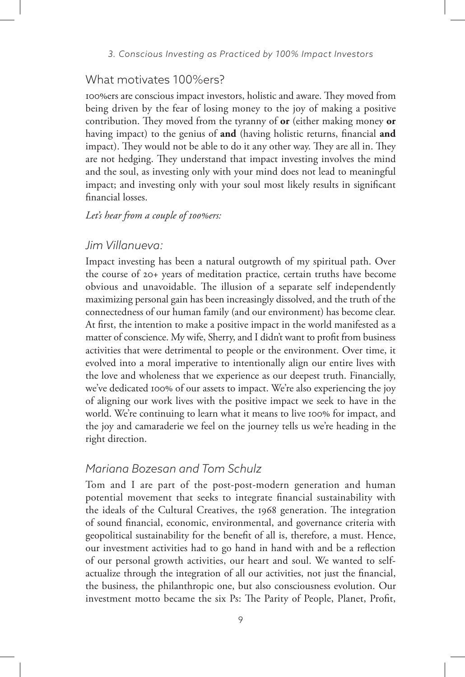### What motivates 100%ers?

100%ers are conscious impact investors, holistic and aware. They moved from being driven by the fear of losing money to the joy of making a positive contribution. They moved from the tyranny of **or** (either making money **or** having impact) to the genius of **and** (having holistic returns, financial **and** impact). They would not be able to do it any other way. They are all in. They are not hedging. They understand that impact investing involves the mind and the soul, as investing only with your mind does not lead to meaningful impact; and investing only with your soul most likely results in significant financial losses.

## *Let's hear from a couple of 100%ers:*

### *Jim Villanueva:*

Impact investing has been a natural outgrowth of my spiritual path. Over the course of 20+ years of meditation practice, certain truths have become obvious and unavoidable. The illusion of a separate self independently maximizing personal gain has been increasingly dissolved, and the truth of the connectedness of our human family (and our environment) has become clear. At first, the intention to make a positive impact in the world manifested as a matter of conscience. My wife, Sherry, and I didn't want to profit from business activities that were detrimental to people or the environment. Over time, it evolved into a moral imperative to intentionally align our entire lives with the love and wholeness that we experience as our deepest truth. Financially, we've dedicated 100% of our assets to impact. We're also experiencing the joy of aligning our work lives with the positive impact we seek to have in the world. We're continuing to learn what it means to live 100% for impact, and the joy and camaraderie we feel on the journey tells us we're heading in the right direction.

## *Mariana Bozesan and Tom Schulz*

Tom and I are part of the post-post-modern generation and human potential movement that seeks to integrate financial sustainability with the ideals of the Cultural Creatives, the 1968 generation. The integration of sound financial, economic, environmental, and governance criteria with geopolitical sustainability for the benefit of all is, therefore, a must. Hence, our investment activities had to go hand in hand with and be a reflection of our personal growth activities, our heart and soul. We wanted to selfactualize through the integration of all our activities, not just the financial, the business, the philanthropic one, but also consciousness evolution. Our investment motto became the six Ps: The Parity of People, Planet, Profit,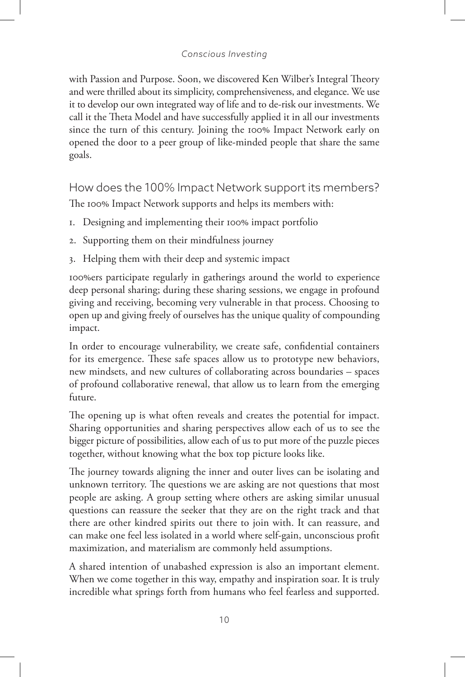with Passion and Purpose. Soon, we discovered Ken Wilber's Integral Theory and were thrilled about its simplicity, comprehensiveness, and elegance. We use it to develop our own integrated way of life and to de-risk our investments. We call it the Theta Model and have successfully applied it in all our investments since the turn of this century. Joining the 100% Impact Network early on opened the door to a peer group of like-minded people that share the same goals.

How does the 100% Impact Network support its members? The 100% Impact Network supports and helps its members with:

- 1. Designing and implementing their 100% impact portfolio
- 2. Supporting them on their mindfulness journey
- 3. Helping them with their deep and systemic impact

100%ers participate regularly in gatherings around the world to experience deep personal sharing; during these sharing sessions, we engage in profound giving and receiving, becoming very vulnerable in that process. Choosing to open up and giving freely of ourselves has the unique quality of compounding impact.

In order to encourage vulnerability, we create safe, confidential containers for its emergence. These safe spaces allow us to prototype new behaviors, new mindsets, and new cultures of collaborating across boundaries – spaces of profound collaborative renewal, that allow us to learn from the emerging future.

The opening up is what often reveals and creates the potential for impact. Sharing opportunities and sharing perspectives allow each of us to see the bigger picture of possibilities, allow each of us to put more of the puzzle pieces together, without knowing what the box top picture looks like.

The journey towards aligning the inner and outer lives can be isolating and unknown territory. The questions we are asking are not questions that most people are asking. A group setting where others are asking similar unusual questions can reassure the seeker that they are on the right track and that there are other kindred spirits out there to join with. It can reassure, and can make one feel less isolated in a world where self-gain, unconscious profit maximization, and materialism are commonly held assumptions.

A shared intention of unabashed expression is also an important element. When we come together in this way, empathy and inspiration soar. It is truly incredible what springs forth from humans who feel fearless and supported.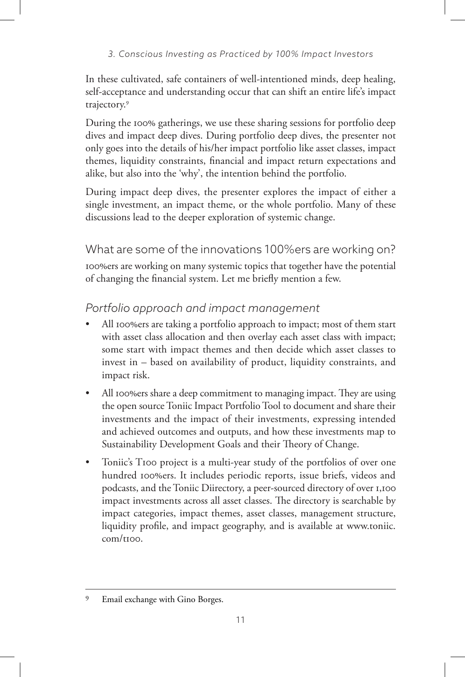In these cultivated, safe containers of well-intentioned minds, deep healing, self-acceptance and understanding occur that can shift an entire life's impact trajectory.9

During the 100% gatherings, we use these sharing sessions for portfolio deep dives and impact deep dives. During portfolio deep dives, the presenter not only goes into the details of his/her impact portfolio like asset classes, impact themes, liquidity constraints, financial and impact return expectations and alike, but also into the 'why', the intention behind the portfolio.

During impact deep dives, the presenter explores the impact of either a single investment, an impact theme, or the whole portfolio. Many of these discussions lead to the deeper exploration of systemic change.

What are some of the innovations 100%ers are working on?

100%ers are working on many systemic topics that together have the potential of changing the financial system. Let me briefly mention a few.

*Portfolio approach and impact management*

- All 100%ers are taking a portfolio approach to impact; most of them start with asset class allocation and then overlay each asset class with impact; some start with impact themes and then decide which asset classes to invest in – based on availability of product, liquidity constraints, and impact risk.
- All 100%ers share a deep commitment to managing impact. They are using the open source Toniic Impact Portfolio Tool to document and share their investments and the impact of their investments, expressing intended and achieved outcomes and outputs, and how these investments map to Sustainability Development Goals and their Theory of Change.
- Toniic's T100 project is a multi-year study of the portfolios of over one hundred 100%ers. It includes periodic reports, issue briefs, videos and podcasts, and the Toniic Diirectory, a peer-sourced directory of over 1,100 impact investments across all asset classes. The directory is searchable by impact categories, impact themes, asset classes, management structure, liquidity profile, and impact geography, and is available at www.toniic. com/t100.

<sup>9</sup> Email exchange with Gino Borges.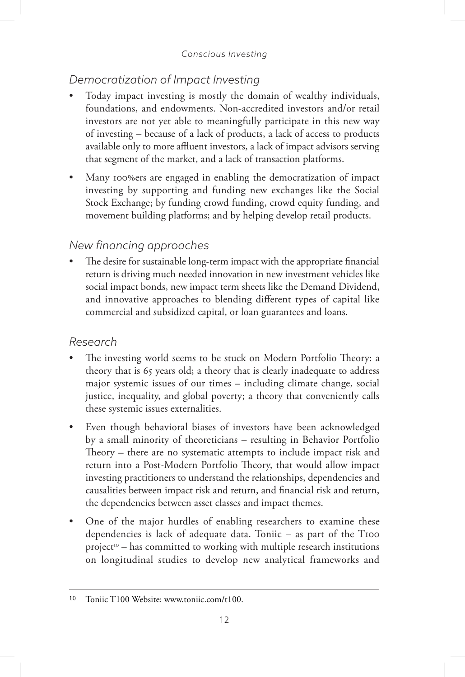## *Democratization of Impact Investing*

- Today impact investing is mostly the domain of wealthy individuals, foundations, and endowments. Non-accredited investors and/or retail investors are not yet able to meaningfully participate in this new way of investing – because of a lack of products, a lack of access to products available only to more affluent investors, a lack of impact advisors serving that segment of the market, and a lack of transaction platforms.
- Many 100%ers are engaged in enabling the democratization of impact investing by supporting and funding new exchanges like the Social Stock Exchange; by funding crowd funding, crowd equity funding, and movement building platforms; and by helping develop retail products.

## *New financing approaches*

The desire for sustainable long-term impact with the appropriate financial return is driving much needed innovation in new investment vehicles like social impact bonds, new impact term sheets like the Demand Dividend, and innovative approaches to blending different types of capital like commercial and subsidized capital, or loan guarantees and loans.

## *Research*

- The investing world seems to be stuck on Modern Portfolio Theory: a theory that is 65 years old; a theory that is clearly inadequate to address major systemic issues of our times – including climate change, social justice, inequality, and global poverty; a theory that conveniently calls these systemic issues externalities.
- Even though behavioral biases of investors have been acknowledged by a small minority of theoreticians – resulting in Behavior Portfolio Theory – there are no systematic attempts to include impact risk and return into a Post-Modern Portfolio Theory, that would allow impact investing practitioners to understand the relationships, dependencies and causalities between impact risk and return, and financial risk and return, the dependencies between asset classes and impact themes.
- One of the major hurdles of enabling researchers to examine these dependencies is lack of adequate data. Toniic – as part of the T100  $project^{\circ}-$  has committed to working with multiple research institutions on longitudinal studies to develop new analytical frameworks and

<sup>10</sup> Toniic T100 Website: www.toniic.com/t100.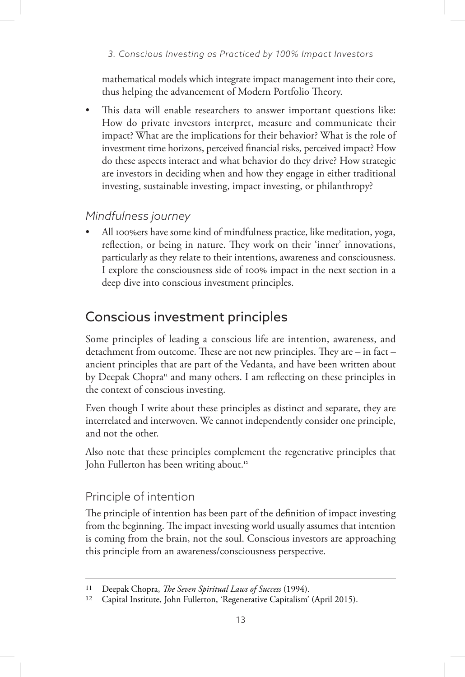mathematical models which integrate impact management into their core, thus helping the advancement of Modern Portfolio Theory.

This data will enable researchers to answer important questions like: How do private investors interpret, measure and communicate their impact? What are the implications for their behavior? What is the role of investment time horizons, perceived financial risks, perceived impact? How do these aspects interact and what behavior do they drive? How strategic are investors in deciding when and how they engage in either traditional investing, sustainable investing, impact investing, or philanthropy?

## *Mindfulness journey*

• All 100%ers have some kind of mindfulness practice, like meditation, yoga, reflection, or being in nature. They work on their 'inner' innovations, particularly as they relate to their intentions, awareness and consciousness. I explore the consciousness side of 100% impact in the next section in a deep dive into conscious investment principles.

# Conscious investment principles

Some principles of leading a conscious life are intention, awareness, and detachment from outcome. These are not new principles. They are – in fact – ancient principles that are part of the Vedanta, and have been written about by Deepak Chopra<sup>11</sup> and many others. I am reflecting on these principles in the context of conscious investing.

Even though I write about these principles as distinct and separate, they are interrelated and interwoven. We cannot independently consider one principle, and not the other.

Also note that these principles complement the regenerative principles that John Fullerton has been writing about.<sup>12</sup>

## Principle of intention

The principle of intention has been part of the definition of impact investing from the beginning. The impact investing world usually assumes that intention is coming from the brain, not the soul. Conscious investors are approaching this principle from an awareness/consciousness perspective.

<sup>11</sup> Deepak Chopra, *The Seven Spiritual Laws of Success* (1994).

<sup>12</sup> Capital Institute, John Fullerton, 'Regenerative Capitalism' (April 2015).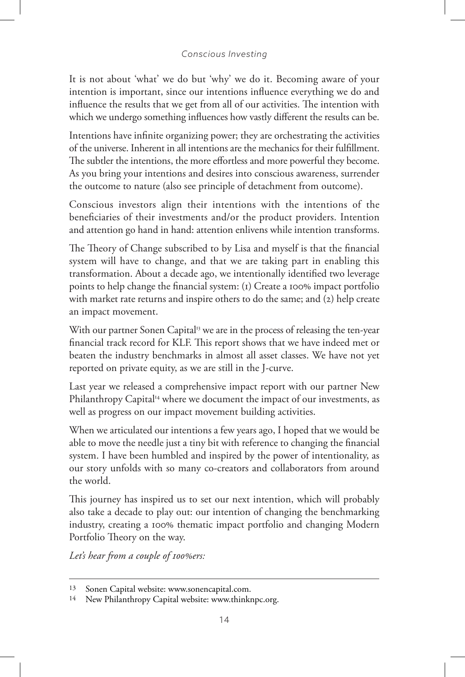It is not about 'what' we do but 'why' we do it. Becoming aware of your intention is important, since our intentions influence everything we do and influence the results that we get from all of our activities. The intention with which we undergo something influences how vastly different the results can be.

Intentions have infinite organizing power; they are orchestrating the activities of the universe. Inherent in all intentions are the mechanics for their fulfillment. The subtler the intentions, the more effortless and more powerful they become. As you bring your intentions and desires into conscious awareness, surrender the outcome to nature (also see principle of detachment from outcome).

Conscious investors align their intentions with the intentions of the beneficiaries of their investments and/or the product providers. Intention and attention go hand in hand: attention enlivens while intention transforms.

The Theory of Change subscribed to by Lisa and myself is that the financial system will have to change, and that we are taking part in enabling this transformation. About a decade ago, we intentionally identified two leverage points to help change the financial system: (1) Create a 100% impact portfolio with market rate returns and inspire others to do the same; and (2) help create an impact movement.

With our partner Sonen Capital<sup>13</sup> we are in the process of releasing the ten-year financial track record for KLF. This report shows that we have indeed met or beaten the industry benchmarks in almost all asset classes. We have not yet reported on private equity, as we are still in the J-curve.

Last year we released a comprehensive impact report with our partner New Philanthropy Capital<sup>14</sup> where we document the impact of our investments, as well as progress on our impact movement building activities.

When we articulated our intentions a few years ago, I hoped that we would be able to move the needle just a tiny bit with reference to changing the financial system. I have been humbled and inspired by the power of intentionality, as our story unfolds with so many co-creators and collaborators from around the world.

This journey has inspired us to set our next intention, which will probably also take a decade to play out: our intention of changing the benchmarking industry, creating a 100% thematic impact portfolio and changing Modern Portfolio Theory on the way.

*Let's hear from a couple of 100%ers:*

<sup>13</sup> Sonen Capital website: www.sonencapital.com.

<sup>14</sup> New Philanthropy Capital website: www.thinknpc.org.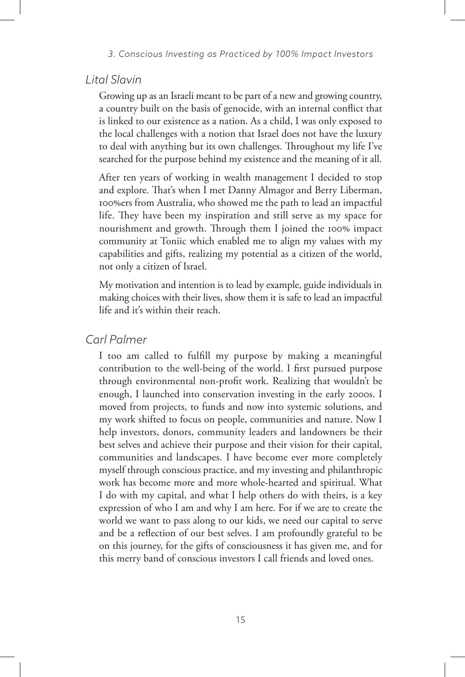### *Lital Slavin*

Growing up as an Israeli meant to be part of a new and growing country, a country built on the basis of genocide, with an internal conflict that is linked to our existence as a nation. As a child, I was only exposed to the local challenges with a notion that Israel does not have the luxury to deal with anything but its own challenges. Throughout my life I've searched for the purpose behind my existence and the meaning of it all.

After ten years of working in wealth management I decided to stop and explore. That's when I met Danny Almagor and Berry Liberman, 100%ers from Australia, who showed me the path to lead an impactful life. They have been my inspiration and still serve as my space for nourishment and growth. Through them I joined the 100% impact community at Toniic which enabled me to align my values with my capabilities and gifts, realizing my potential as a citizen of the world, not only a citizen of Israel.

My motivation and intention is to lead by example, guide individuals in making choices with their lives, show them it is safe to lead an impactful life and it's within their reach.

### *Carl Palmer*

I too am called to fulfill my purpose by making a meaningful contribution to the well-being of the world. I first pursued purpose through environmental non-profit work. Realizing that wouldn't be enough, I launched into conservation investing in the early 2000s. I moved from projects, to funds and now into systemic solutions, and my work shifted to focus on people, communities and nature. Now I help investors, donors, community leaders and landowners be their best selves and achieve their purpose and their vision for their capital, communities and landscapes. I have become ever more completely myself through conscious practice, and my investing and philanthropic work has become more and more whole-hearted and spiritual. What I do with my capital, and what I help others do with theirs, is a key expression of who I am and why I am here. For if we are to create the world we want to pass along to our kids, we need our capital to serve and be a reflection of our best selves. I am profoundly grateful to be on this journey, for the gifts of consciousness it has given me, and for this merry band of conscious investors I call friends and loved ones.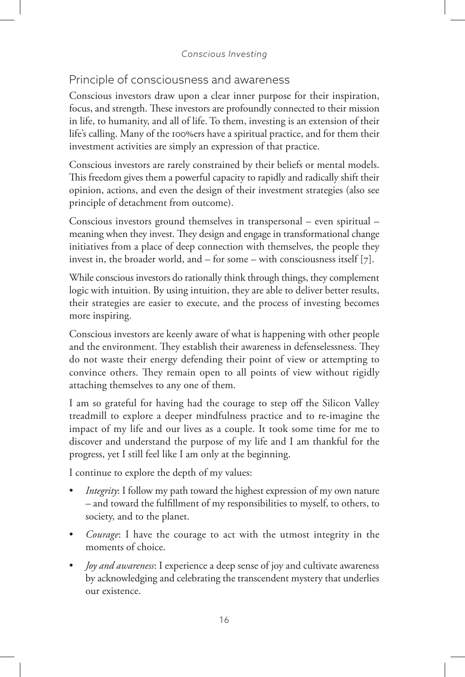## Principle of consciousness and awareness

Conscious investors draw upon a clear inner purpose for their inspiration, focus, and strength. These investors are profoundly connected to their mission in life, to humanity, and all of life. To them, investing is an extension of their life's calling. Many of the 100%ers have a spiritual practice, and for them their investment activities are simply an expression of that practice.

Conscious investors are rarely constrained by their beliefs or mental models. This freedom gives them a powerful capacity to rapidly and radically shift their opinion, actions, and even the design of their investment strategies (also see principle of detachment from outcome).

Conscious investors ground themselves in transpersonal – even spiritual – meaning when they invest. They design and engage in transformational change initiatives from a place of deep connection with themselves, the people they invest in, the broader world, and – for some – with consciousness itself [7].

While conscious investors do rationally think through things, they complement logic with intuition. By using intuition, they are able to deliver better results, their strategies are easier to execute, and the process of investing becomes more inspiring.

Conscious investors are keenly aware of what is happening with other people and the environment. They establish their awareness in defenselessness. They do not waste their energy defending their point of view or attempting to convince others. They remain open to all points of view without rigidly attaching themselves to any one of them.

I am so grateful for having had the courage to step off the Silicon Valley treadmill to explore a deeper mindfulness practice and to re-imagine the impact of my life and our lives as a couple. It took some time for me to discover and understand the purpose of my life and I am thankful for the progress, yet I still feel like I am only at the beginning.

I continue to explore the depth of my values:

- *Integrity*: I follow my path toward the highest expression of my own nature – and toward the fulfillment of my responsibilities to myself, to others, to society, and to the planet.
- *Courage*: I have the courage to act with the utmost integrity in the moments of choice.
- *Joy and awareness*: I experience a deep sense of joy and cultivate awareness by acknowledging and celebrating the transcendent mystery that underlies our existence.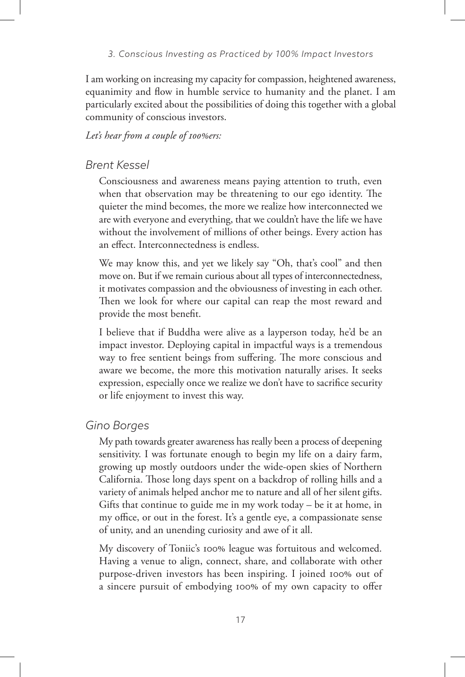I am working on increasing my capacity for compassion, heightened awareness, equanimity and flow in humble service to humanity and the planet. I am particularly excited about the possibilities of doing this together with a global community of conscious investors.

### *Let's hear from a couple of 100%ers:*

### *Brent Kessel*

Consciousness and awareness means paying attention to truth, even when that observation may be threatening to our ego identity. The quieter the mind becomes, the more we realize how interconnected we are with everyone and everything, that we couldn't have the life we have without the involvement of millions of other beings. Every action has an effect. Interconnectedness is endless.

We may know this, and yet we likely say "Oh, that's cool" and then move on. But if we remain curious about all types of interconnectedness, it motivates compassion and the obviousness of investing in each other. Then we look for where our capital can reap the most reward and provide the most benefit.

I believe that if Buddha were alive as a layperson today, he'd be an impact investor. Deploying capital in impactful ways is a tremendous way to free sentient beings from suffering. The more conscious and aware we become, the more this motivation naturally arises. It seeks expression, especially once we realize we don't have to sacrifice security or life enjoyment to invest this way.

### *Gino Borges*

My path towards greater awareness has really been a process of deepening sensitivity. I was fortunate enough to begin my life on a dairy farm, growing up mostly outdoors under the wide-open skies of Northern California. Those long days spent on a backdrop of rolling hills and a variety of animals helped anchor me to nature and all of her silent gifts. Gifts that continue to guide me in my work today – be it at home, in my office, or out in the forest. It's a gentle eye, a compassionate sense of unity, and an unending curiosity and awe of it all.

My discovery of Toniic's 100% league was fortuitous and welcomed. Having a venue to align, connect, share, and collaborate with other purpose-driven investors has been inspiring. I joined 100% out of a sincere pursuit of embodying 100% of my own capacity to offer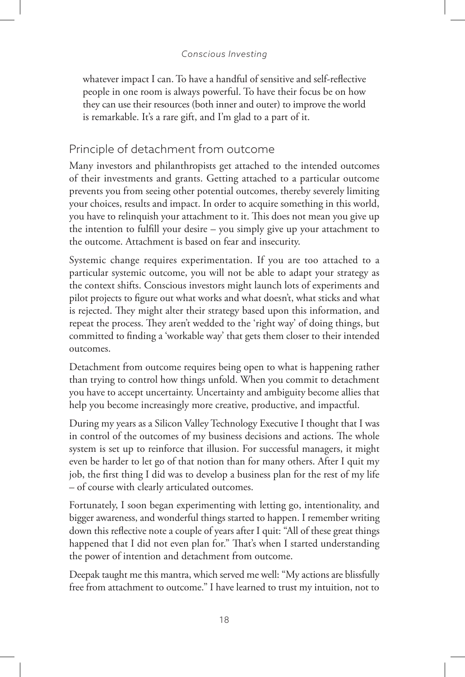whatever impact I can. To have a handful of sensitive and self-reflective people in one room is always powerful. To have their focus be on how they can use their resources (both inner and outer) to improve the world is remarkable. It's a rare gift, and I'm glad to a part of it.

## Principle of detachment from outcome

Many investors and philanthropists get attached to the intended outcomes of their investments and grants. Getting attached to a particular outcome prevents you from seeing other potential outcomes, thereby severely limiting your choices, results and impact. In order to acquire something in this world, you have to relinquish your attachment to it. This does not mean you give up the intention to fulfill your desire – you simply give up your attachment to the outcome. Attachment is based on fear and insecurity.

Systemic change requires experimentation. If you are too attached to a particular systemic outcome, you will not be able to adapt your strategy as the context shifts. Conscious investors might launch lots of experiments and pilot projects to figure out what works and what doesn't, what sticks and what is rejected. They might alter their strategy based upon this information, and repeat the process. They aren't wedded to the 'right way' of doing things, but committed to finding a 'workable way' that gets them closer to their intended outcomes.

Detachment from outcome requires being open to what is happening rather than trying to control how things unfold. When you commit to detachment you have to accept uncertainty. Uncertainty and ambiguity become allies that help you become increasingly more creative, productive, and impactful.

During my years as a Silicon Valley Technology Executive I thought that I was in control of the outcomes of my business decisions and actions. The whole system is set up to reinforce that illusion. For successful managers, it might even be harder to let go of that notion than for many others. After I quit my job, the first thing I did was to develop a business plan for the rest of my life – of course with clearly articulated outcomes.

Fortunately, I soon began experimenting with letting go, intentionality, and bigger awareness, and wonderful things started to happen. I remember writing down this reflective note a couple of years after I quit: "All of these great things happened that I did not even plan for." That's when I started understanding the power of intention and detachment from outcome.

Deepak taught me this mantra, which served me well: "My actions are blissfully free from attachment to outcome." I have learned to trust my intuition, not to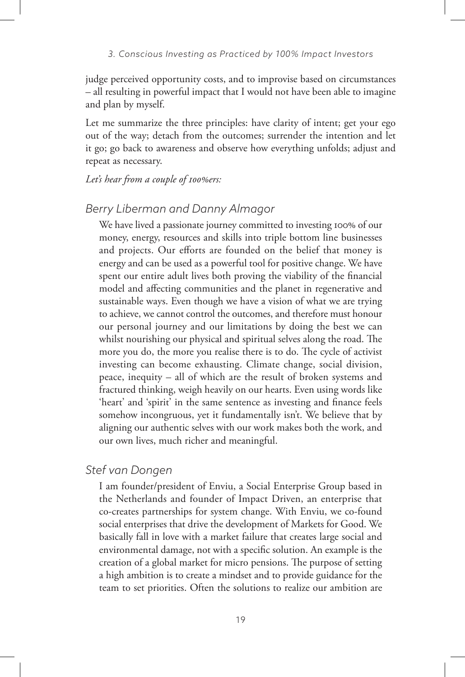judge perceived opportunity costs, and to improvise based on circumstances – all resulting in powerful impact that I would not have been able to imagine and plan by myself.

Let me summarize the three principles: have clarity of intent; get your ego out of the way; detach from the outcomes; surrender the intention and let it go; go back to awareness and observe how everything unfolds; adjust and repeat as necessary.

### *Let's hear from a couple of 100%ers:*

### *Berry Liberman and Danny Almagor*

We have lived a passionate journey committed to investing 100% of our money, energy, resources and skills into triple bottom line businesses and projects. Our efforts are founded on the belief that money is energy and can be used as a powerful tool for positive change. We have spent our entire adult lives both proving the viability of the financial model and affecting communities and the planet in regenerative and sustainable ways. Even though we have a vision of what we are trying to achieve, we cannot control the outcomes, and therefore must honour our personal journey and our limitations by doing the best we can whilst nourishing our physical and spiritual selves along the road. The more you do, the more you realise there is to do. The cycle of activist investing can become exhausting. Climate change, social division, peace, inequity – all of which are the result of broken systems and fractured thinking, weigh heavily on our hearts. Even using words like 'heart' and 'spirit' in the same sentence as investing and finance feels somehow incongruous, yet it fundamentally isn't. We believe that by aligning our authentic selves with our work makes both the work, and our own lives, much richer and meaningful.

## *Stef van Dongen*

I am founder/president of Enviu, a Social Enterprise Group based in the Netherlands and founder of Impact Driven, an enterprise that co-creates partnerships for system change. With Enviu, we co-found social enterprises that drive the development of Markets for Good. We basically fall in love with a market failure that creates large social and environmental damage, not with a specific solution. An example is the creation of a global market for micro pensions. The purpose of setting a high ambition is to create a mindset and to provide guidance for the team to set priorities. Often the solutions to realize our ambition are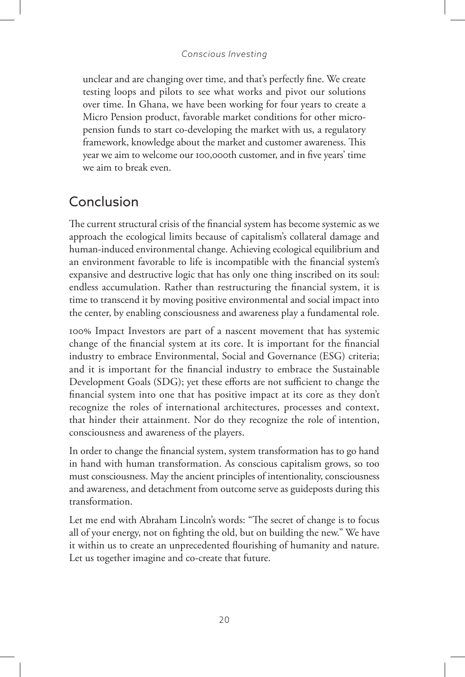unclear and are changing over time, and that's perfectly fine. We create testing loops and pilots to see what works and pivot our solutions over time. In Ghana, we have been working for four years to create a Micro Pension product, favorable market conditions for other micropension funds to start co-developing the market with us, a regulatory framework, knowledge about the market and customer awareness. This year we aim to welcome our 100,000th customer, and in five years' time we aim to break even.

## Conclusion

The current structural crisis of the financial system has become systemic as we approach the ecological limits because of capitalism's collateral damage and human-induced environmental change. Achieving ecological equilibrium and an environment favorable to life is incompatible with the financial system's expansive and destructive logic that has only one thing inscribed on its soul: endless accumulation. Rather than restructuring the financial system, it is time to transcend it by moving positive environmental and social impact into the center, by enabling consciousness and awareness play a fundamental role.

100% Impact Investors are part of a nascent movement that has systemic change of the financial system at its core. It is important for the financial industry to embrace Environmental, Social and Governance (ESG) criteria; and it is important for the financial industry to embrace the Sustainable Development Goals (SDG); yet these efforts are not sufficient to change the financial system into one that has positive impact at its core as they don't recognize the roles of international architectures, processes and context, that hinder their attainment. Nor do they recognize the role of intention, consciousness and awareness of the players.

In order to change the financial system, system transformation has to go hand in hand with human transformation. As conscious capitalism grows, so too must consciousness. May the ancient principles of intentionality, consciousness and awareness, and detachment from outcome serve as guideposts during this transformation.

Let me end with Abraham Lincoln's words: "The secret of change is to focus all of your energy, not on fighting the old, but on building the new." We have it within us to create an unprecedented flourishing of humanity and nature. Let us together imagine and co-create that future.